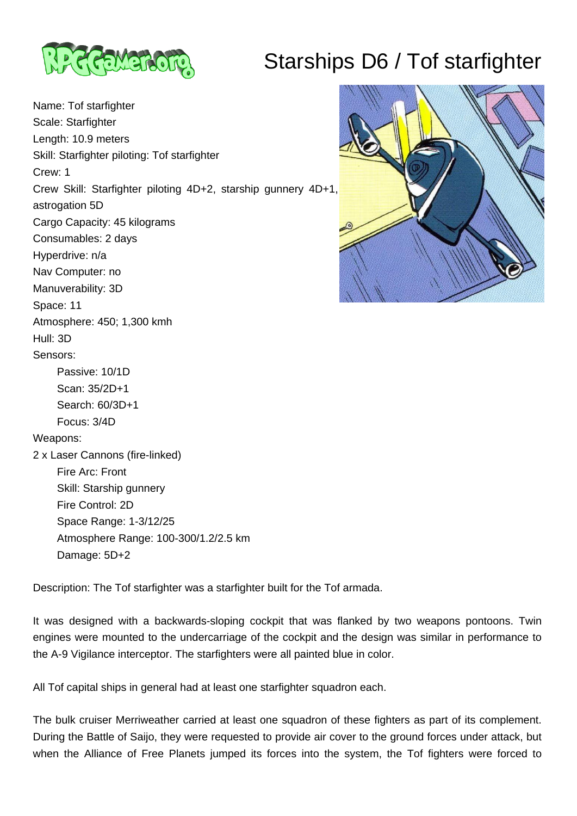

## Starships D6 / Tof starfighter

Name: Tof starfighter Scale: Starfighter Length: 10.9 meters Skill: Starfighter piloting: Tof starfighter Crew: 1 Crew Skill: Starfighter piloting 4D+2, starship gunnery 4D+1, astrogation 5D Cargo Capacity: 45 kilograms Consumables: 2 days Hyperdrive: n/a Nav Computer: no Manuverability: 3D Space: 11 Atmosphere: 450; 1,300 kmh Hull: 3D Sensors: Passive: 10/1D Scan: 35/2D+1 Search: 60/3D+1 Focus: 3/4D Weapons: 2 x Laser Cannons (fire-linked) Fire Arc: Front Skill: Starship gunnery Fire Control: 2D Space Range: 1-3/12/25 Atmosphere Range: 100-300/1.2/2.5 km Damage: 5D+2



Description: The Tof starfighter was a starfighter built for the Tof armada.

It was designed with a backwards-sloping cockpit that was flanked by two weapons pontoons. Twin engines were mounted to the undercarriage of the cockpit and the design was similar in performance to the A-9 Vigilance interceptor. The starfighters were all painted blue in color.

All Tof capital ships in general had at least one starfighter squadron each.

The bulk cruiser Merriweather carried at least one squadron of these fighters as part of its complement. During the Battle of Saijo, they were requested to provide air cover to the ground forces under attack, but when the Alliance of Free Planets jumped its forces into the system, the Tof fighters were forced to